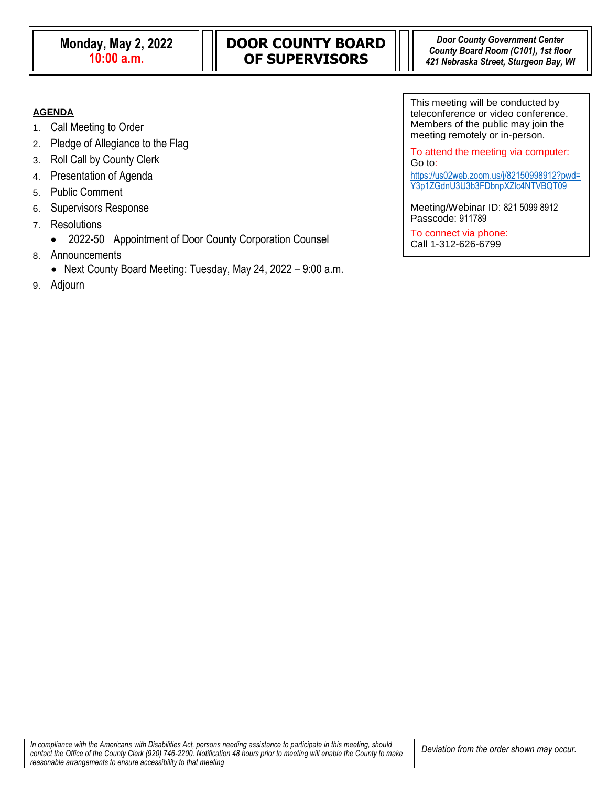### **AGENDA**

- 1. Call Meeting to Order
- 2. Pledge of Allegiance to the Flag
- 3. Roll Call by County Clerk
- 4. Presentation of Agenda
- 5. Public Comment
- 6. Supervisors Response
- 7. Resolutions
	- 2022-50 Appointment of Door County Corporation Counsel
- 8. Announcements
	- Next County Board Meeting: Tuesday, May 24, 2022 9:00 a.m.
- 9. Adjourn

This meeting will be conducted by teleconference or video conference. Members of the public may join the meeting remotely or in-person.

To attend the meeting via computer: Go to: [https://us02web.zoom.us/j/82150998912?pwd=](https://us02web.zoom.us/j/82150998912?pwd=Y3p1ZGdnU3U3b3FDbnpXZlc4NTVBQT09)

[Y3p1ZGdnU3U3b3FDbnpXZlc4NTVBQT09](https://us02web.zoom.us/j/82150998912?pwd=Y3p1ZGdnU3U3b3FDbnpXZlc4NTVBQT09)

Meeting/Webinar ID: 821 5099 8912 Passcode: 911789

To connect via phone: Call 1-312-626-6799